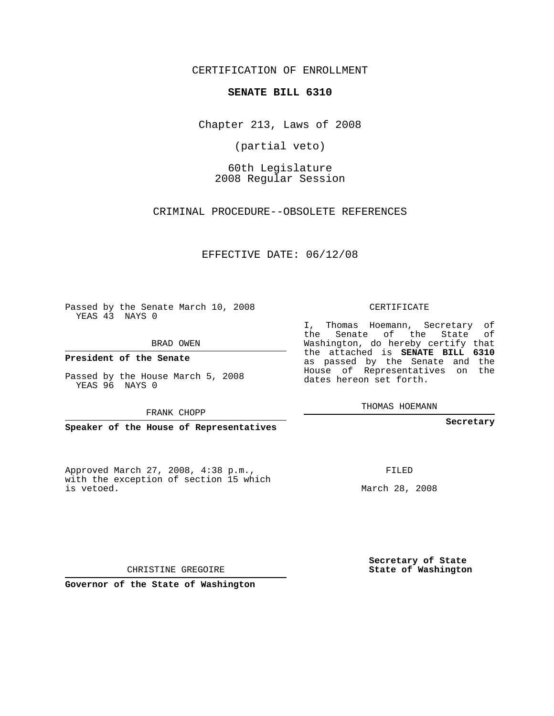CERTIFICATION OF ENROLLMENT

#### **SENATE BILL 6310**

Chapter 213, Laws of 2008

(partial veto)

60th Legislature 2008 Regular Session

CRIMINAL PROCEDURE--OBSOLETE REFERENCES

EFFECTIVE DATE: 06/12/08

Passed by the Senate March 10, 2008 YEAS 43 NAYS 0

BRAD OWEN

**President of the Senate**

Passed by the House March 5, 2008 YEAS 96 NAYS 0

FRANK CHOPP

**Speaker of the House of Representatives**

Approved March 27, 2008, 4:38 p.m., with the exception of section 15 which is vetoed.

CERTIFICATE

I, Thomas Hoemann, Secretary of the Senate of the State of Washington, do hereby certify that the attached is **SENATE BILL 6310** as passed by the Senate and the House of Representatives on the dates hereon set forth.

THOMAS HOEMANN

**Secretary**

FILED

March 28, 2008

**Secretary of State State of Washington**

CHRISTINE GREGOIRE

**Governor of the State of Washington**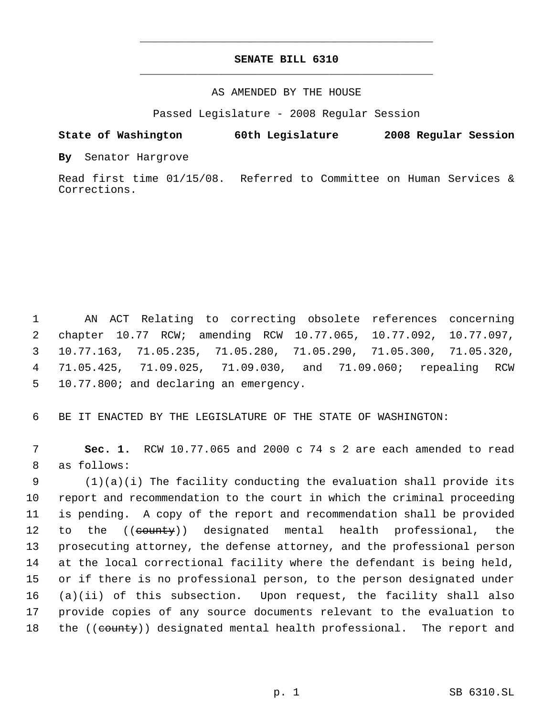# **SENATE BILL 6310** \_\_\_\_\_\_\_\_\_\_\_\_\_\_\_\_\_\_\_\_\_\_\_\_\_\_\_\_\_\_\_\_\_\_\_\_\_\_\_\_\_\_\_\_\_

\_\_\_\_\_\_\_\_\_\_\_\_\_\_\_\_\_\_\_\_\_\_\_\_\_\_\_\_\_\_\_\_\_\_\_\_\_\_\_\_\_\_\_\_\_

## AS AMENDED BY THE HOUSE

Passed Legislature - 2008 Regular Session

### **State of Washington 60th Legislature 2008 Regular Session**

**By** Senator Hargrove

Read first time 01/15/08. Referred to Committee on Human Services & Corrections.

 AN ACT Relating to correcting obsolete references concerning chapter 10.77 RCW; amending RCW 10.77.065, 10.77.092, 10.77.097, 10.77.163, 71.05.235, 71.05.280, 71.05.290, 71.05.300, 71.05.320, 71.05.425, 71.09.025, 71.09.030, and 71.09.060; repealing RCW 10.77.800; and declaring an emergency.

6 BE IT ENACTED BY THE LEGISLATURE OF THE STATE OF WASHINGTON:

 7 **Sec. 1.** RCW 10.77.065 and 2000 c 74 s 2 are each amended to read 8 as follows:

 (1)(a)(i) The facility conducting the evaluation shall provide its report and recommendation to the court in which the criminal proceeding is pending. A copy of the report and recommendation shall be provided 12 to the ((county)) designated mental health professional, the prosecuting attorney, the defense attorney, and the professional person at the local correctional facility where the defendant is being held, or if there is no professional person, to the person designated under (a)(ii) of this subsection. Upon request, the facility shall also provide copies of any source documents relevant to the evaluation to 18 the ((county)) designated mental health professional. The report and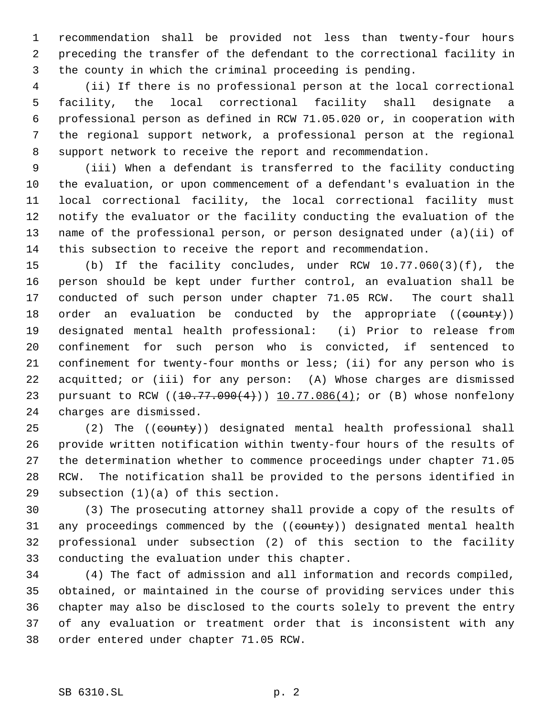recommendation shall be provided not less than twenty-four hours preceding the transfer of the defendant to the correctional facility in the county in which the criminal proceeding is pending.

 (ii) If there is no professional person at the local correctional facility, the local correctional facility shall designate a professional person as defined in RCW 71.05.020 or, in cooperation with the regional support network, a professional person at the regional support network to receive the report and recommendation.

 (iii) When a defendant is transferred to the facility conducting the evaluation, or upon commencement of a defendant's evaluation in the local correctional facility, the local correctional facility must notify the evaluator or the facility conducting the evaluation of the name of the professional person, or person designated under (a)(ii) of this subsection to receive the report and recommendation.

 (b) If the facility concludes, under RCW 10.77.060(3)(f), the person should be kept under further control, an evaluation shall be conducted of such person under chapter 71.05 RCW. The court shall 18 order an evaluation be conducted by the appropriate ((county)) designated mental health professional: (i) Prior to release from confinement for such person who is convicted, if sentenced to confinement for twenty-four months or less; (ii) for any person who is acquitted; or (iii) for any person: (A) Whose charges are dismissed 23 pursuant to RCW ((10.77.090(4))) 10.77.086(4); or (B) whose nonfelony charges are dismissed.

25 (2) The ((county)) designated mental health professional shall provide written notification within twenty-four hours of the results of the determination whether to commence proceedings under chapter 71.05 RCW. The notification shall be provided to the persons identified in subsection (1)(a) of this section.

 (3) The prosecuting attorney shall provide a copy of the results of 31 any proceedings commenced by the ((county)) designated mental health professional under subsection (2) of this section to the facility conducting the evaluation under this chapter.

 (4) The fact of admission and all information and records compiled, obtained, or maintained in the course of providing services under this chapter may also be disclosed to the courts solely to prevent the entry of any evaluation or treatment order that is inconsistent with any order entered under chapter 71.05 RCW.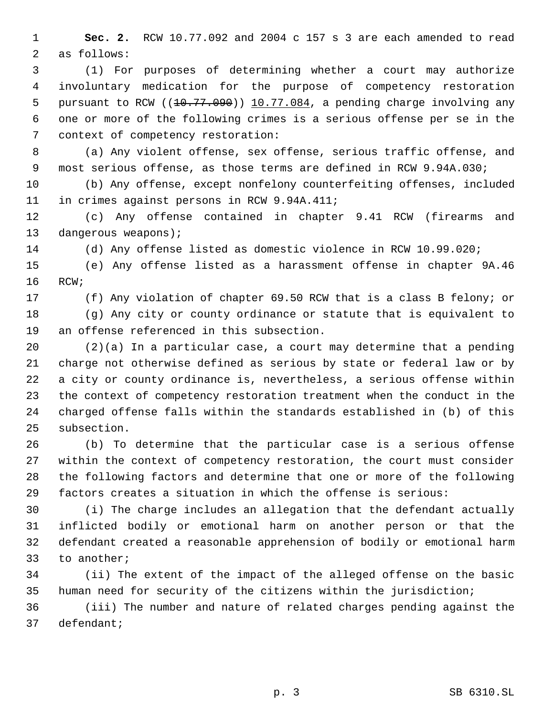**Sec. 2.** RCW 10.77.092 and 2004 c 157 s 3 are each amended to read as follows:

 (1) For purposes of determining whether a court may authorize involuntary medication for the purpose of competency restoration 5 pursuant to RCW ( $(10.77.090)$ )  $10.77.084$ , a pending charge involving any one or more of the following crimes is a serious offense per se in the context of competency restoration:

 (a) Any violent offense, sex offense, serious traffic offense, and most serious offense, as those terms are defined in RCW 9.94A.030;

 (b) Any offense, except nonfelony counterfeiting offenses, included in crimes against persons in RCW 9.94A.411;

 (c) Any offense contained in chapter 9.41 RCW (firearms and 13 dangerous weapons);

(d) Any offense listed as domestic violence in RCW 10.99.020;

 (e) Any offense listed as a harassment offense in chapter 9A.46 RCW;

(f) Any violation of chapter 69.50 RCW that is a class B felony; or

 (g) Any city or county ordinance or statute that is equivalent to an offense referenced in this subsection.

 (2)(a) In a particular case, a court may determine that a pending charge not otherwise defined as serious by state or federal law or by a city or county ordinance is, nevertheless, a serious offense within the context of competency restoration treatment when the conduct in the charged offense falls within the standards established in (b) of this subsection.

 (b) To determine that the particular case is a serious offense within the context of competency restoration, the court must consider the following factors and determine that one or more of the following factors creates a situation in which the offense is serious:

 (i) The charge includes an allegation that the defendant actually inflicted bodily or emotional harm on another person or that the defendant created a reasonable apprehension of bodily or emotional harm to another;

 (ii) The extent of the impact of the alleged offense on the basic human need for security of the citizens within the jurisdiction;

 (iii) The number and nature of related charges pending against the defendant;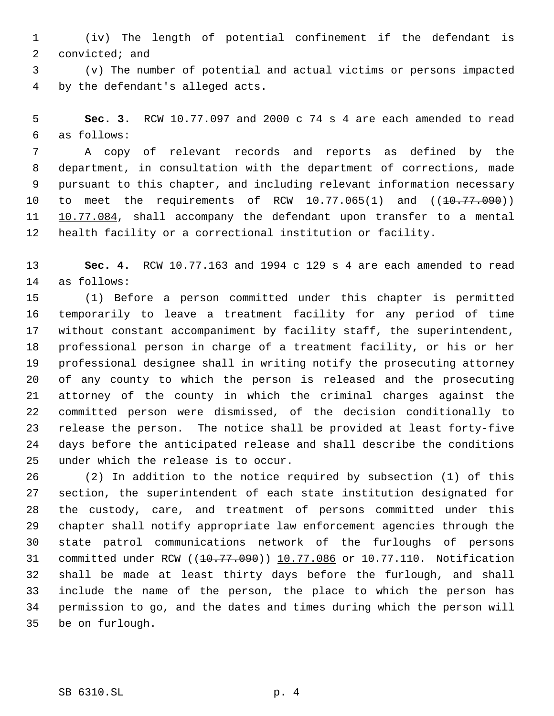(iv) The length of potential confinement if the defendant is convicted; and

 (v) The number of potential and actual victims or persons impacted by the defendant's alleged acts.

 **Sec. 3.** RCW 10.77.097 and 2000 c 74 s 4 are each amended to read as follows:

 A copy of relevant records and reports as defined by the department, in consultation with the department of corrections, made pursuant to this chapter, and including relevant information necessary 10 to meet the requirements of RCW  $10.77.065(1)$  and  $((10.77.090))$ 11 10.77.084, shall accompany the defendant upon transfer to a mental health facility or a correctional institution or facility.

 **Sec. 4.** RCW 10.77.163 and 1994 c 129 s 4 are each amended to read as follows:

 (1) Before a person committed under this chapter is permitted temporarily to leave a treatment facility for any period of time without constant accompaniment by facility staff, the superintendent, professional person in charge of a treatment facility, or his or her professional designee shall in writing notify the prosecuting attorney of any county to which the person is released and the prosecuting attorney of the county in which the criminal charges against the committed person were dismissed, of the decision conditionally to release the person. The notice shall be provided at least forty-five days before the anticipated release and shall describe the conditions under which the release is to occur.

 (2) In addition to the notice required by subsection (1) of this section, the superintendent of each state institution designated for the custody, care, and treatment of persons committed under this chapter shall notify appropriate law enforcement agencies through the state patrol communications network of the furloughs of persons 31 committed under RCW ((10.77.090)) 10.77.086 or 10.77.110. Notification shall be made at least thirty days before the furlough, and shall include the name of the person, the place to which the person has permission to go, and the dates and times during which the person will be on furlough.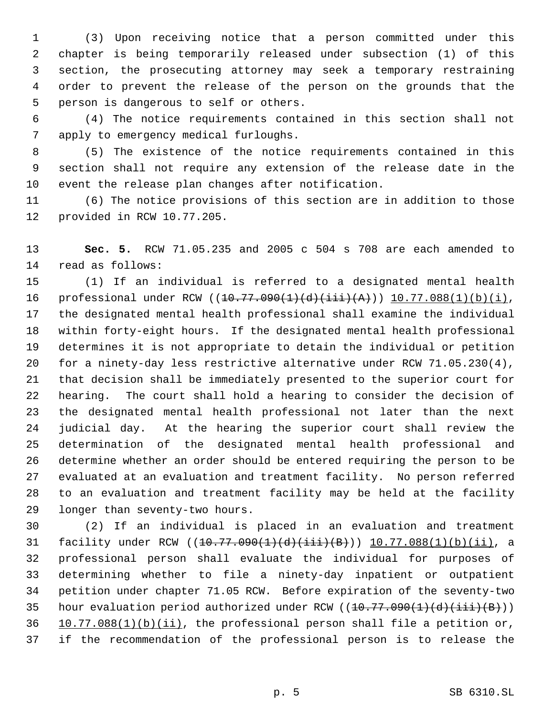(3) Upon receiving notice that a person committed under this chapter is being temporarily released under subsection (1) of this section, the prosecuting attorney may seek a temporary restraining order to prevent the release of the person on the grounds that the person is dangerous to self or others.

 (4) The notice requirements contained in this section shall not apply to emergency medical furloughs.

 (5) The existence of the notice requirements contained in this section shall not require any extension of the release date in the event the release plan changes after notification.

 (6) The notice provisions of this section are in addition to those provided in RCW 10.77.205.

 **Sec. 5.** RCW 71.05.235 and 2005 c 504 s 708 are each amended to read as follows:

 (1) If an individual is referred to a designated mental health 16 professional under RCW ((10.77.090(1)(d)(iii)(A))) 10.77.088(1)(b)(i), the designated mental health professional shall examine the individual within forty-eight hours. If the designated mental health professional determines it is not appropriate to detain the individual or petition for a ninety-day less restrictive alternative under RCW 71.05.230(4), that decision shall be immediately presented to the superior court for hearing. The court shall hold a hearing to consider the decision of the designated mental health professional not later than the next judicial day. At the hearing the superior court shall review the determination of the designated mental health professional and determine whether an order should be entered requiring the person to be evaluated at an evaluation and treatment facility. No person referred to an evaluation and treatment facility may be held at the facility longer than seventy-two hours.

 (2) If an individual is placed in an evaluation and treatment 31 facility under RCW ((10.77.090(1)(d)(iii)(B))) 10.77.088(1)(b)(ii), a professional person shall evaluate the individual for purposes of determining whether to file a ninety-day inpatient or outpatient petition under chapter 71.05 RCW. Before expiration of the seventy-two 35 hour evaluation period authorized under RCW  $((10.77.090(1)(d)(iii))$   $10.77.088(1)(b)(ii)$ , the professional person shall file a petition or, if the recommendation of the professional person is to release the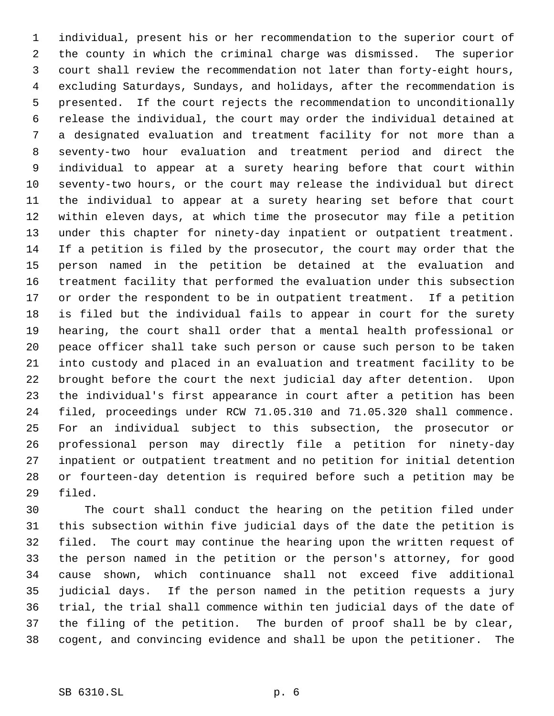individual, present his or her recommendation to the superior court of the county in which the criminal charge was dismissed. The superior court shall review the recommendation not later than forty-eight hours, excluding Saturdays, Sundays, and holidays, after the recommendation is presented. If the court rejects the recommendation to unconditionally release the individual, the court may order the individual detained at a designated evaluation and treatment facility for not more than a seventy-two hour evaluation and treatment period and direct the individual to appear at a surety hearing before that court within seventy-two hours, or the court may release the individual but direct the individual to appear at a surety hearing set before that court within eleven days, at which time the prosecutor may file a petition under this chapter for ninety-day inpatient or outpatient treatment. If a petition is filed by the prosecutor, the court may order that the person named in the petition be detained at the evaluation and treatment facility that performed the evaluation under this subsection or order the respondent to be in outpatient treatment. If a petition is filed but the individual fails to appear in court for the surety hearing, the court shall order that a mental health professional or peace officer shall take such person or cause such person to be taken into custody and placed in an evaluation and treatment facility to be brought before the court the next judicial day after detention. Upon the individual's first appearance in court after a petition has been filed, proceedings under RCW 71.05.310 and 71.05.320 shall commence. For an individual subject to this subsection, the prosecutor or professional person may directly file a petition for ninety-day inpatient or outpatient treatment and no petition for initial detention or fourteen-day detention is required before such a petition may be filed.

 The court shall conduct the hearing on the petition filed under this subsection within five judicial days of the date the petition is filed. The court may continue the hearing upon the written request of the person named in the petition or the person's attorney, for good cause shown, which continuance shall not exceed five additional judicial days. If the person named in the petition requests a jury trial, the trial shall commence within ten judicial days of the date of the filing of the petition. The burden of proof shall be by clear, cogent, and convincing evidence and shall be upon the petitioner. The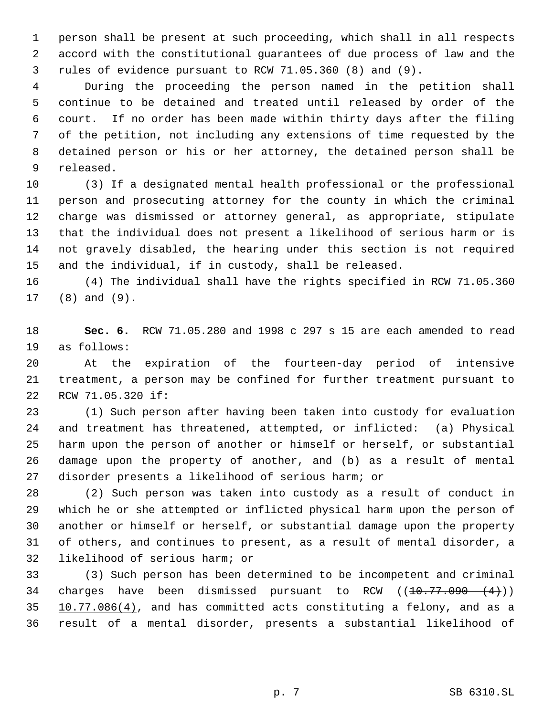person shall be present at such proceeding, which shall in all respects accord with the constitutional guarantees of due process of law and the rules of evidence pursuant to RCW 71.05.360 (8) and (9).

 During the proceeding the person named in the petition shall continue to be detained and treated until released by order of the court. If no order has been made within thirty days after the filing of the petition, not including any extensions of time requested by the detained person or his or her attorney, the detained person shall be released.

 (3) If a designated mental health professional or the professional person and prosecuting attorney for the county in which the criminal charge was dismissed or attorney general, as appropriate, stipulate that the individual does not present a likelihood of serious harm or is not gravely disabled, the hearing under this section is not required and the individual, if in custody, shall be released.

 (4) The individual shall have the rights specified in RCW 71.05.360 (8) and (9).

 **Sec. 6.** RCW 71.05.280 and 1998 c 297 s 15 are each amended to read as follows:

 At the expiration of the fourteen-day period of intensive treatment, a person may be confined for further treatment pursuant to RCW 71.05.320 if:

 (1) Such person after having been taken into custody for evaluation and treatment has threatened, attempted, or inflicted: (a) Physical harm upon the person of another or himself or herself, or substantial damage upon the property of another, and (b) as a result of mental disorder presents a likelihood of serious harm; or

 (2) Such person was taken into custody as a result of conduct in which he or she attempted or inflicted physical harm upon the person of another or himself or herself, or substantial damage upon the property of others, and continues to present, as a result of mental disorder, a likelihood of serious harm; or

 (3) Such person has been determined to be incompetent and criminal 34 charges have been dismissed pursuant to RCW  $((10.77.090 \t (4))$ 35 10.77.086(4), and has committed acts constituting a felony, and as a result of a mental disorder, presents a substantial likelihood of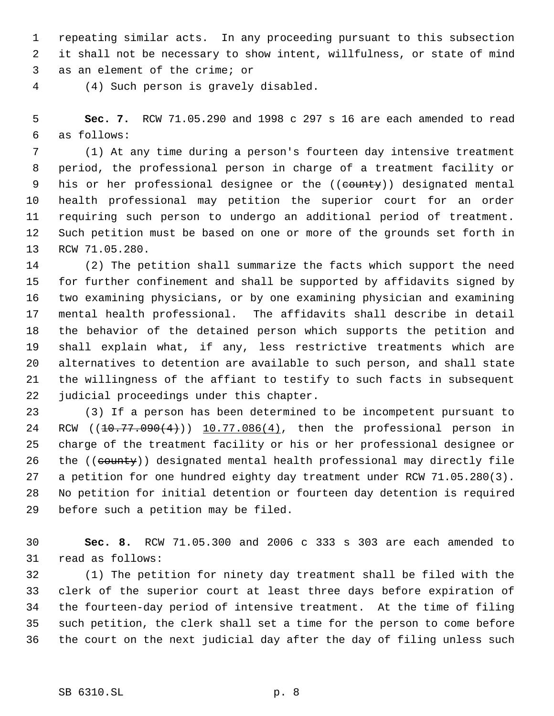repeating similar acts. In any proceeding pursuant to this subsection it shall not be necessary to show intent, willfulness, or state of mind as an element of the crime; or

(4) Such person is gravely disabled.

 **Sec. 7.** RCW 71.05.290 and 1998 c 297 s 16 are each amended to read as follows:

 (1) At any time during a person's fourteen day intensive treatment period, the professional person in charge of a treatment facility or 9 his or her professional designee or the ((county)) designated mental health professional may petition the superior court for an order requiring such person to undergo an additional period of treatment. Such petition must be based on one or more of the grounds set forth in RCW 71.05.280.

 (2) The petition shall summarize the facts which support the need for further confinement and shall be supported by affidavits signed by two examining physicians, or by one examining physician and examining mental health professional. The affidavits shall describe in detail the behavior of the detained person which supports the petition and shall explain what, if any, less restrictive treatments which are alternatives to detention are available to such person, and shall state the willingness of the affiant to testify to such facts in subsequent judicial proceedings under this chapter.

 (3) If a person has been determined to be incompetent pursuant to 24 RCW ((10.77.090(4))) 10.77.086(4), then the professional person in charge of the treatment facility or his or her professional designee or 26 the ((county)) designated mental health professional may directly file a petition for one hundred eighty day treatment under RCW 71.05.280(3). No petition for initial detention or fourteen day detention is required before such a petition may be filed.

 **Sec. 8.** RCW 71.05.300 and 2006 c 333 s 303 are each amended to read as follows:

 (1) The petition for ninety day treatment shall be filed with the clerk of the superior court at least three days before expiration of the fourteen-day period of intensive treatment. At the time of filing such petition, the clerk shall set a time for the person to come before the court on the next judicial day after the day of filing unless such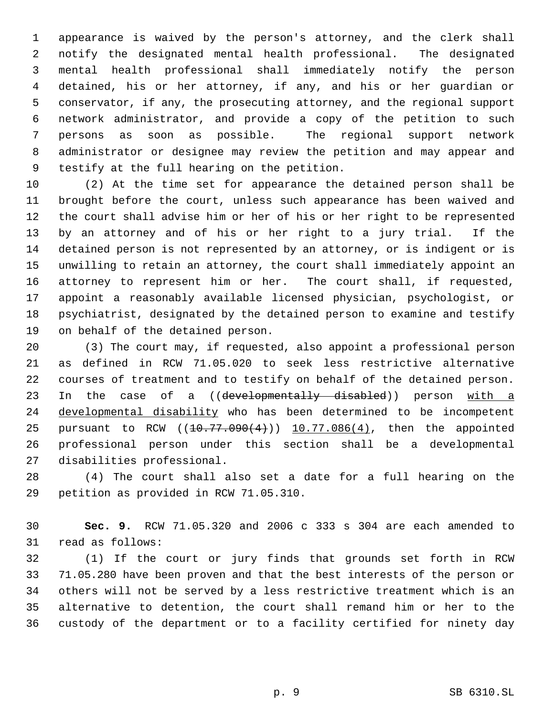appearance is waived by the person's attorney, and the clerk shall notify the designated mental health professional. The designated mental health professional shall immediately notify the person detained, his or her attorney, if any, and his or her guardian or conservator, if any, the prosecuting attorney, and the regional support network administrator, and provide a copy of the petition to such persons as soon as possible. The regional support network administrator or designee may review the petition and may appear and testify at the full hearing on the petition.

 (2) At the time set for appearance the detained person shall be brought before the court, unless such appearance has been waived and the court shall advise him or her of his or her right to be represented by an attorney and of his or her right to a jury trial. If the detained person is not represented by an attorney, or is indigent or is unwilling to retain an attorney, the court shall immediately appoint an attorney to represent him or her. The court shall, if requested, appoint a reasonably available licensed physician, psychologist, or psychiatrist, designated by the detained person to examine and testify on behalf of the detained person.

 (3) The court may, if requested, also appoint a professional person as defined in RCW 71.05.020 to seek less restrictive alternative courses of treatment and to testify on behalf of the detained person. 23 In the case of a ((developmentally disabled)) person with a developmental disability who has been determined to be incompetent 25 pursuant to RCW  $(10.77.090(4))$   $10.77.086(4)$ , then the appointed professional person under this section shall be a developmental disabilities professional.

 (4) The court shall also set a date for a full hearing on the petition as provided in RCW 71.05.310.

 **Sec. 9.** RCW 71.05.320 and 2006 c 333 s 304 are each amended to read as follows:

 (1) If the court or jury finds that grounds set forth in RCW 71.05.280 have been proven and that the best interests of the person or others will not be served by a less restrictive treatment which is an alternative to detention, the court shall remand him or her to the custody of the department or to a facility certified for ninety day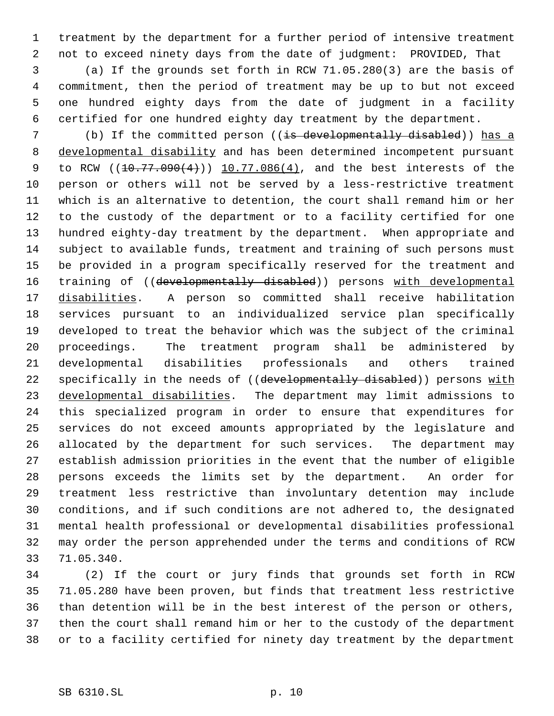treatment by the department for a further period of intensive treatment not to exceed ninety days from the date of judgment: PROVIDED, That

 (a) If the grounds set forth in RCW 71.05.280(3) are the basis of commitment, then the period of treatment may be up to but not exceed one hundred eighty days from the date of judgment in a facility certified for one hundred eighty day treatment by the department.

7 (b) If the committed person ((is developmentally disabled)) has a developmental disability and has been determined incompetent pursuant 9 to RCW ((10.77.090(4))) 10.77.086(4), and the best interests of the person or others will not be served by a less-restrictive treatment which is an alternative to detention, the court shall remand him or her to the custody of the department or to a facility certified for one hundred eighty-day treatment by the department. When appropriate and subject to available funds, treatment and training of such persons must be provided in a program specifically reserved for the treatment and 16 training of ((developmentally disabled)) persons with developmental disabilities. A person so committed shall receive habilitation services pursuant to an individualized service plan specifically developed to treat the behavior which was the subject of the criminal proceedings. The treatment program shall be administered by developmental disabilities professionals and others trained 22 specifically in the needs of ((developmentally disabled)) persons with developmental disabilities. The department may limit admissions to this specialized program in order to ensure that expenditures for services do not exceed amounts appropriated by the legislature and allocated by the department for such services. The department may establish admission priorities in the event that the number of eligible persons exceeds the limits set by the department. An order for treatment less restrictive than involuntary detention may include conditions, and if such conditions are not adhered to, the designated mental health professional or developmental disabilities professional may order the person apprehended under the terms and conditions of RCW 71.05.340.

 (2) If the court or jury finds that grounds set forth in RCW 71.05.280 have been proven, but finds that treatment less restrictive than detention will be in the best interest of the person or others, then the court shall remand him or her to the custody of the department or to a facility certified for ninety day treatment by the department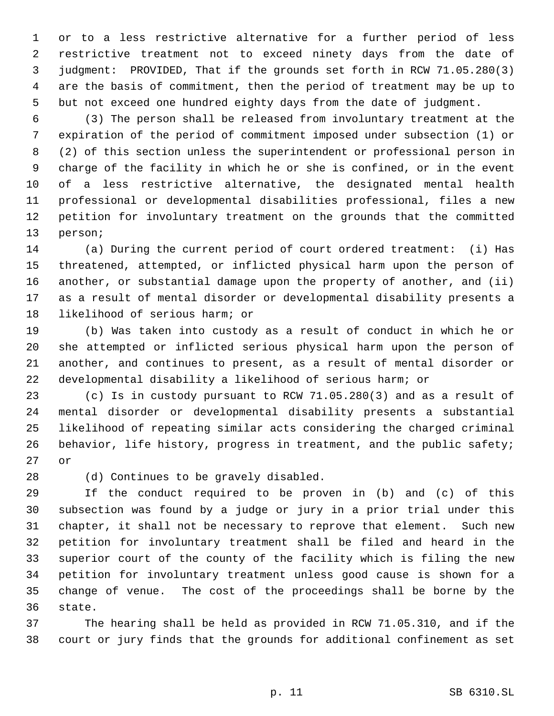or to a less restrictive alternative for a further period of less restrictive treatment not to exceed ninety days from the date of judgment: PROVIDED, That if the grounds set forth in RCW 71.05.280(3) are the basis of commitment, then the period of treatment may be up to but not exceed one hundred eighty days from the date of judgment.

 (3) The person shall be released from involuntary treatment at the expiration of the period of commitment imposed under subsection (1) or (2) of this section unless the superintendent or professional person in charge of the facility in which he or she is confined, or in the event of a less restrictive alternative, the designated mental health professional or developmental disabilities professional, files a new petition for involuntary treatment on the grounds that the committed person;

 (a) During the current period of court ordered treatment: (i) Has threatened, attempted, or inflicted physical harm upon the person of another, or substantial damage upon the property of another, and (ii) as a result of mental disorder or developmental disability presents a likelihood of serious harm; or

 (b) Was taken into custody as a result of conduct in which he or she attempted or inflicted serious physical harm upon the person of another, and continues to present, as a result of mental disorder or developmental disability a likelihood of serious harm; or

 (c) Is in custody pursuant to RCW 71.05.280(3) and as a result of mental disorder or developmental disability presents a substantial likelihood of repeating similar acts considering the charged criminal 26 behavior, life history, progress in treatment, and the public safety; or

(d) Continues to be gravely disabled.

 If the conduct required to be proven in (b) and (c) of this subsection was found by a judge or jury in a prior trial under this chapter, it shall not be necessary to reprove that element. Such new petition for involuntary treatment shall be filed and heard in the superior court of the county of the facility which is filing the new petition for involuntary treatment unless good cause is shown for a change of venue. The cost of the proceedings shall be borne by the state.

 The hearing shall be held as provided in RCW 71.05.310, and if the court or jury finds that the grounds for additional confinement as set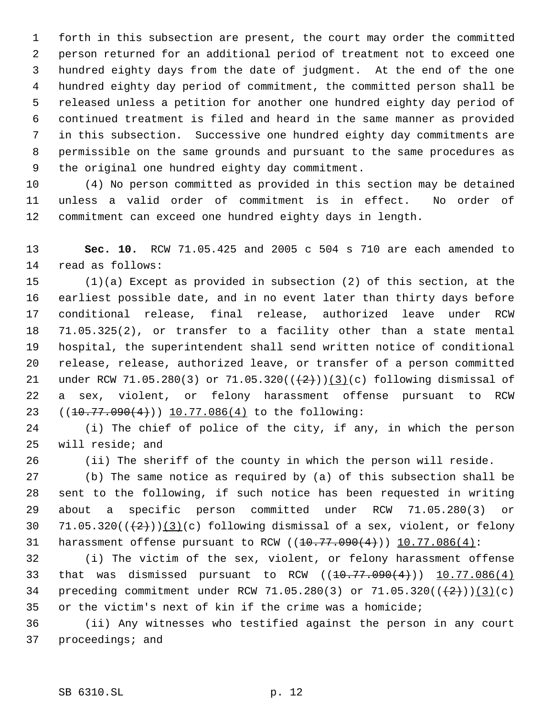forth in this subsection are present, the court may order the committed person returned for an additional period of treatment not to exceed one hundred eighty days from the date of judgment. At the end of the one hundred eighty day period of commitment, the committed person shall be released unless a petition for another one hundred eighty day period of continued treatment is filed and heard in the same manner as provided in this subsection. Successive one hundred eighty day commitments are permissible on the same grounds and pursuant to the same procedures as the original one hundred eighty day commitment.

 (4) No person committed as provided in this section may be detained unless a valid order of commitment is in effect. No order of commitment can exceed one hundred eighty days in length.

 **Sec. 10.** RCW 71.05.425 and 2005 c 504 s 710 are each amended to read as follows:

 (1)(a) Except as provided in subsection (2) of this section, at the earliest possible date, and in no event later than thirty days before conditional release, final release, authorized leave under RCW 71.05.325(2), or transfer to a facility other than a state mental hospital, the superintendent shall send written notice of conditional release, release, authorized leave, or transfer of a person committed 21 under RCW 71.05.280(3) or 71.05.320( $(\frac{2}{1})$ )(3)(c) following dismissal of a sex, violent, or felony harassment offense pursuant to RCW 23 ((10.77.090(4))) 10.77.086(4) to the following:

 (i) The chief of police of the city, if any, in which the person will reside; and

(ii) The sheriff of the county in which the person will reside.

 (b) The same notice as required by (a) of this subsection shall be sent to the following, if such notice has been requested in writing about a specific person committed under RCW 71.05.280(3) or 30 71.05.320 $((+2))$  $(3)(c)$  following dismissal of a sex, violent, or felony 31 harassment offense pursuant to RCW  $((10.77.090(4)))$  10.77.086 $(4)$ :

 (i) The victim of the sex, violent, or felony harassment offense 33 that was dismissed pursuant to RCW  $((10.77.090(4)))$   $10.77.086(4)$ 34 preceding commitment under RCW 71.05.280(3) or 71.05.320( $(\frac{2}{2})$ )(3)(c) or the victim's next of kin if the crime was a homicide;

 (ii) Any witnesses who testified against the person in any court proceedings; and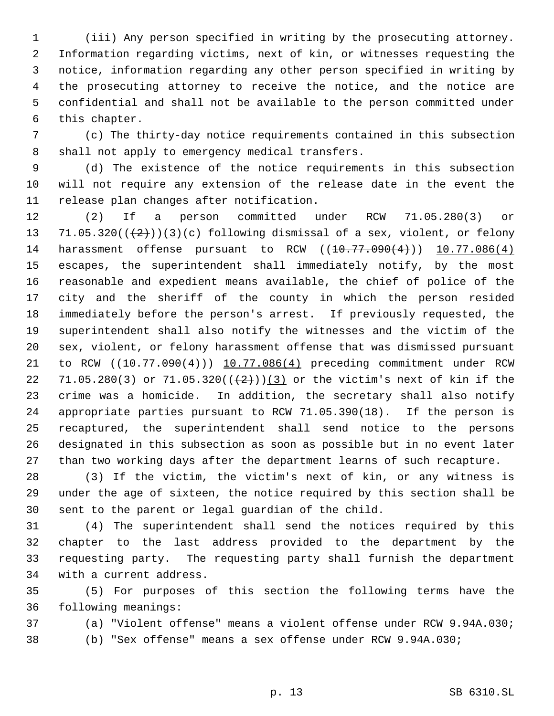(iii) Any person specified in writing by the prosecuting attorney. Information regarding victims, next of kin, or witnesses requesting the notice, information regarding any other person specified in writing by the prosecuting attorney to receive the notice, and the notice are confidential and shall not be available to the person committed under this chapter.

 (c) The thirty-day notice requirements contained in this subsection shall not apply to emergency medical transfers.

 (d) The existence of the notice requirements in this subsection will not require any extension of the release date in the event the release plan changes after notification.

 (2) If a person committed under RCW 71.05.280(3) or 13 71.05.320( $(\frac{2}{2})$ )(3)(c) following dismissal of a sex, violent, or felony 14 harassment offense pursuant to RCW ((10.77.090(4))) 10.77.086(4) escapes, the superintendent shall immediately notify, by the most reasonable and expedient means available, the chief of police of the city and the sheriff of the county in which the person resided immediately before the person's arrest. If previously requested, the superintendent shall also notify the witnesses and the victim of the sex, violent, or felony harassment offense that was dismissed pursuant 21 to RCW ((10.77.090(4))) 10.77.086(4) preceding commitment under RCW 22 71.05.280(3) or 71.05.320( $(\frac{2}{2})$ )(3) or the victim's next of kin if the crime was a homicide. In addition, the secretary shall also notify appropriate parties pursuant to RCW 71.05.390(18). If the person is recaptured, the superintendent shall send notice to the persons designated in this subsection as soon as possible but in no event later than two working days after the department learns of such recapture.

 (3) If the victim, the victim's next of kin, or any witness is under the age of sixteen, the notice required by this section shall be sent to the parent or legal guardian of the child.

 (4) The superintendent shall send the notices required by this chapter to the last address provided to the department by the requesting party. The requesting party shall furnish the department with a current address.

 (5) For purposes of this section the following terms have the following meanings:

(a) "Violent offense" means a violent offense under RCW 9.94A.030;

(b) "Sex offense" means a sex offense under RCW 9.94A.030;

p. 13 SB 6310.SL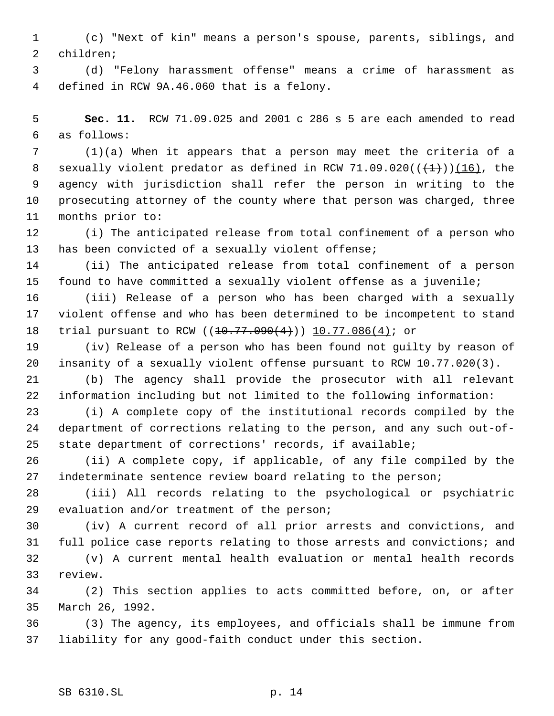(c) "Next of kin" means a person's spouse, parents, siblings, and children;

 (d) "Felony harassment offense" means a crime of harassment as defined in RCW 9A.46.060 that is a felony.

 **Sec. 11.** RCW 71.09.025 and 2001 c 286 s 5 are each amended to read as follows:

 (1)(a) When it appears that a person may meet the criteria of a 8 sexually violent predator as defined in RCW 71.09.020( $(\frac{1}{(1)})(16)$ , the agency with jurisdiction shall refer the person in writing to the prosecuting attorney of the county where that person was charged, three months prior to:

 (i) The anticipated release from total confinement of a person who has been convicted of a sexually violent offense;

 (ii) The anticipated release from total confinement of a person found to have committed a sexually violent offense as a juvenile;

 (iii) Release of a person who has been charged with a sexually violent offense and who has been determined to be incompetent to stand 18 trial pursuant to RCW ((10.77.090(4))) 10.77.086(4); or

 (iv) Release of a person who has been found not guilty by reason of insanity of a sexually violent offense pursuant to RCW 10.77.020(3).

 (b) The agency shall provide the prosecutor with all relevant information including but not limited to the following information:

 (i) A complete copy of the institutional records compiled by the department of corrections relating to the person, and any such out-of-state department of corrections' records, if available;

 (ii) A complete copy, if applicable, of any file compiled by the indeterminate sentence review board relating to the person;

 (iii) All records relating to the psychological or psychiatric evaluation and/or treatment of the person;

 (iv) A current record of all prior arrests and convictions, and full police case reports relating to those arrests and convictions; and

 (v) A current mental health evaluation or mental health records review.

 (2) This section applies to acts committed before, on, or after March 26, 1992.

 (3) The agency, its employees, and officials shall be immune from liability for any good-faith conduct under this section.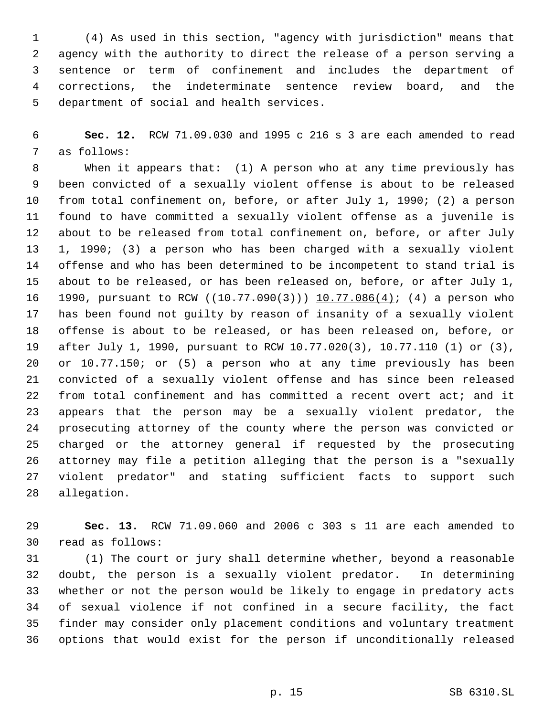(4) As used in this section, "agency with jurisdiction" means that agency with the authority to direct the release of a person serving a sentence or term of confinement and includes the department of corrections, the indeterminate sentence review board, and the department of social and health services.

 **Sec. 12.** RCW 71.09.030 and 1995 c 216 s 3 are each amended to read as follows:

 When it appears that: (1) A person who at any time previously has been convicted of a sexually violent offense is about to be released from total confinement on, before, or after July 1, 1990; (2) a person found to have committed a sexually violent offense as a juvenile is about to be released from total confinement on, before, or after July 1, 1990; (3) a person who has been charged with a sexually violent offense and who has been determined to be incompetent to stand trial is about to be released, or has been released on, before, or after July 1, 16 1990, pursuant to RCW ((10.77.090(3))) 10.77.086(4); (4) a person who has been found not guilty by reason of insanity of a sexually violent offense is about to be released, or has been released on, before, or after July 1, 1990, pursuant to RCW 10.77.020(3), 10.77.110 (1) or (3), or 10.77.150; or (5) a person who at any time previously has been convicted of a sexually violent offense and has since been released from total confinement and has committed a recent overt act; and it appears that the person may be a sexually violent predator, the prosecuting attorney of the county where the person was convicted or charged or the attorney general if requested by the prosecuting attorney may file a petition alleging that the person is a "sexually violent predator" and stating sufficient facts to support such allegation.

 **Sec. 13.** RCW 71.09.060 and 2006 c 303 s 11 are each amended to read as follows:

 (1) The court or jury shall determine whether, beyond a reasonable doubt, the person is a sexually violent predator. In determining whether or not the person would be likely to engage in predatory acts of sexual violence if not confined in a secure facility, the fact finder may consider only placement conditions and voluntary treatment options that would exist for the person if unconditionally released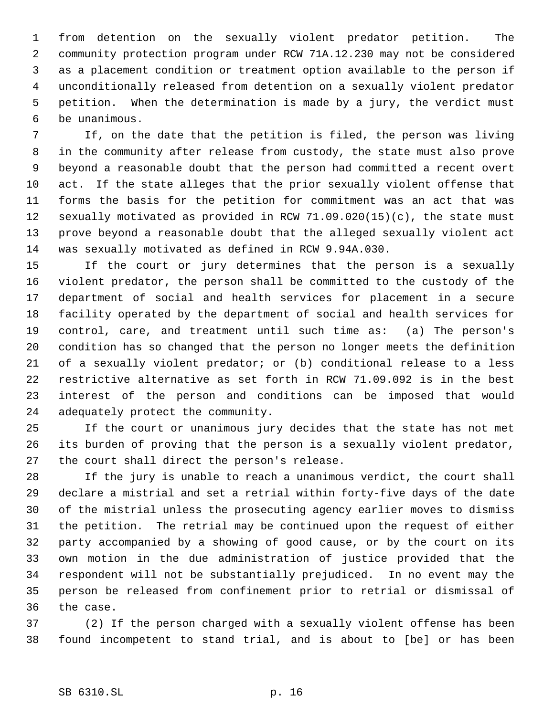from detention on the sexually violent predator petition. The community protection program under RCW 71A.12.230 may not be considered as a placement condition or treatment option available to the person if unconditionally released from detention on a sexually violent predator petition. When the determination is made by a jury, the verdict must be unanimous.

 If, on the date that the petition is filed, the person was living in the community after release from custody, the state must also prove beyond a reasonable doubt that the person had committed a recent overt act. If the state alleges that the prior sexually violent offense that forms the basis for the petition for commitment was an act that was sexually motivated as provided in RCW 71.09.020(15)(c), the state must prove beyond a reasonable doubt that the alleged sexually violent act was sexually motivated as defined in RCW 9.94A.030.

 If the court or jury determines that the person is a sexually violent predator, the person shall be committed to the custody of the department of social and health services for placement in a secure facility operated by the department of social and health services for control, care, and treatment until such time as: (a) The person's condition has so changed that the person no longer meets the definition of a sexually violent predator; or (b) conditional release to a less restrictive alternative as set forth in RCW 71.09.092 is in the best interest of the person and conditions can be imposed that would adequately protect the community.

 If the court or unanimous jury decides that the state has not met its burden of proving that the person is a sexually violent predator, the court shall direct the person's release.

 If the jury is unable to reach a unanimous verdict, the court shall declare a mistrial and set a retrial within forty-five days of the date of the mistrial unless the prosecuting agency earlier moves to dismiss the petition. The retrial may be continued upon the request of either party accompanied by a showing of good cause, or by the court on its own motion in the due administration of justice provided that the respondent will not be substantially prejudiced. In no event may the person be released from confinement prior to retrial or dismissal of the case.

 (2) If the person charged with a sexually violent offense has been found incompetent to stand trial, and is about to [be] or has been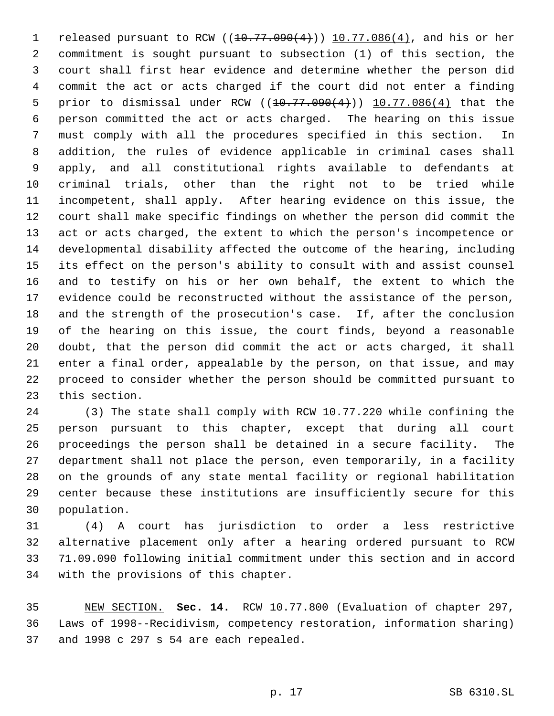1 released pursuant to RCW  $(10.77.090(4))$  10.77.086(4), and his or her commitment is sought pursuant to subsection (1) of this section, the court shall first hear evidence and determine whether the person did commit the act or acts charged if the court did not enter a finding 5 prior to dismissal under RCW  $((10.77.090(4)))$   $10.77.086(4)$  that the person committed the act or acts charged. The hearing on this issue must comply with all the procedures specified in this section. In addition, the rules of evidence applicable in criminal cases shall apply, and all constitutional rights available to defendants at criminal trials, other than the right not to be tried while incompetent, shall apply. After hearing evidence on this issue, the court shall make specific findings on whether the person did commit the act or acts charged, the extent to which the person's incompetence or developmental disability affected the outcome of the hearing, including its effect on the person's ability to consult with and assist counsel and to testify on his or her own behalf, the extent to which the evidence could be reconstructed without the assistance of the person, and the strength of the prosecution's case. If, after the conclusion of the hearing on this issue, the court finds, beyond a reasonable doubt, that the person did commit the act or acts charged, it shall enter a final order, appealable by the person, on that issue, and may proceed to consider whether the person should be committed pursuant to this section.

 (3) The state shall comply with RCW 10.77.220 while confining the person pursuant to this chapter, except that during all court proceedings the person shall be detained in a secure facility. The department shall not place the person, even temporarily, in a facility on the grounds of any state mental facility or regional habilitation center because these institutions are insufficiently secure for this population.

 (4) A court has jurisdiction to order a less restrictive alternative placement only after a hearing ordered pursuant to RCW 71.09.090 following initial commitment under this section and in accord with the provisions of this chapter.

 NEW SECTION. **Sec. 14.** RCW 10.77.800 (Evaluation of chapter 297, Laws of 1998--Recidivism, competency restoration, information sharing) and 1998 c 297 s 54 are each repealed.